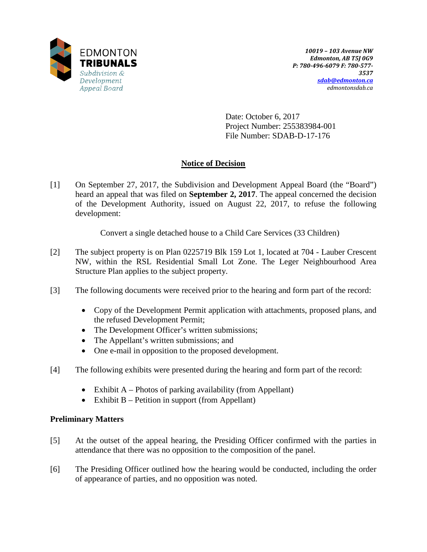

Date: October 6, 2017 Project Number: 255383984-001 File Number: SDAB-D-17-176

# **Notice of Decision**

[1] On September 27, 2017, the Subdivision and Development Appeal Board (the "Board") heard an appeal that was filed on **September 2, 2017**. The appeal concerned the decision of the Development Authority, issued on August 22, 2017, to refuse the following development:

Convert a single detached house to a Child Care Services (33 Children)

- [2] The subject property is on Plan 0225719 Blk 159 Lot 1, located at 704 Lauber Crescent NW, within the RSL Residential Small Lot Zone. The Leger Neighbourhood Area Structure Plan applies to the subject property.
- [3] The following documents were received prior to the hearing and form part of the record:
	- Copy of the Development Permit application with attachments, proposed plans, and the refused Development Permit;
	- The Development Officer's written submissions;
	- The Appellant's written submissions; and
	- One e-mail in opposition to the proposed development.
- [4] The following exhibits were presented during the hearing and form part of the record:
	- Exhibit A Photos of parking availability (from Appellant)
	- Exhibit B Petition in support (from Appellant)

# **Preliminary Matters**

- [5] At the outset of the appeal hearing, the Presiding Officer confirmed with the parties in attendance that there was no opposition to the composition of the panel.
- [6] The Presiding Officer outlined how the hearing would be conducted, including the order of appearance of parties, and no opposition was noted.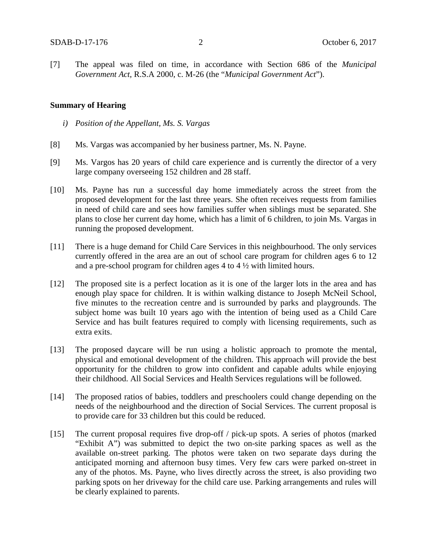[7] The appeal was filed on time, in accordance with Section 686 of the *Municipal Government Act*, R.S.A 2000, c. M-26 (the "*Municipal Government Act*").

#### **Summary of Hearing**

- *i) Position of the Appellant, Ms. S. Vargas*
- [8] Ms. Vargas was accompanied by her business partner, Ms. N. Payne.
- [9] Ms. Vargos has 20 years of child care experience and is currently the director of a very large company overseeing 152 children and 28 staff.
- [10] Ms. Payne has run a successful day home immediately across the street from the proposed development for the last three years. She often receives requests from families in need of child care and sees how families suffer when siblings must be separated. She plans to close her current day home, which has a limit of 6 children, to join Ms. Vargas in running the proposed development.
- [11] There is a huge demand for Child Care Services in this neighbourhood. The only services currently offered in the area are an out of school care program for children ages 6 to 12 and a pre-school program for children ages 4 to 4 ½ with limited hours.
- [12] The proposed site is a perfect location as it is one of the larger lots in the area and has enough play space for children. It is within walking distance to Joseph McNeil School, five minutes to the recreation centre and is surrounded by parks and playgrounds. The subject home was built 10 years ago with the intention of being used as a Child Care Service and has built features required to comply with licensing requirements, such as extra exits.
- [13] The proposed daycare will be run using a holistic approach to promote the mental, physical and emotional development of the children. This approach will provide the best opportunity for the children to grow into confident and capable adults while enjoying their childhood. All Social Services and Health Services regulations will be followed.
- [14] The proposed ratios of babies, toddlers and preschoolers could change depending on the needs of the neighbourhood and the direction of Social Services. The current proposal is to provide care for 33 children but this could be reduced.
- [15] The current proposal requires five drop-off / pick-up spots. A series of photos (marked "Exhibit A") was submitted to depict the two on-site parking spaces as well as the available on-street parking. The photos were taken on two separate days during the anticipated morning and afternoon busy times. Very few cars were parked on-street in any of the photos. Ms. Payne, who lives directly across the street, is also providing two parking spots on her driveway for the child care use. Parking arrangements and rules will be clearly explained to parents.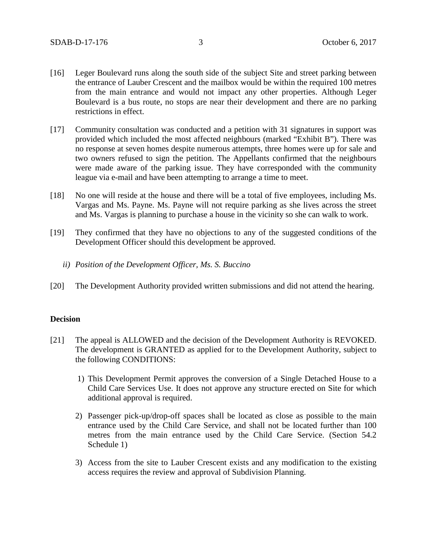- [16] Leger Boulevard runs along the south side of the subject Site and street parking between the entrance of Lauber Crescent and the mailbox would be within the required 100 metres from the main entrance and would not impact any other properties. Although Leger Boulevard is a bus route, no stops are near their development and there are no parking restrictions in effect.
- [17] Community consultation was conducted and a petition with 31 signatures in support was provided which included the most affected neighbours (marked "Exhibit B"). There was no response at seven homes despite numerous attempts, three homes were up for sale and two owners refused to sign the petition. The Appellants confirmed that the neighbours were made aware of the parking issue. They have corresponded with the community league via e-mail and have been attempting to arrange a time to meet.
- [18] No one will reside at the house and there will be a total of five employees, including Ms. Vargas and Ms. Payne. Ms. Payne will not require parking as she lives across the street and Ms. Vargas is planning to purchase a house in the vicinity so she can walk to work.
- [19] They confirmed that they have no objections to any of the suggested conditions of the Development Officer should this development be approved.
	- *ii) Position of the Development Officer, Ms. S. Buccino*
- [20] The Development Authority provided written submissions and did not attend the hearing.

### **Decision**

- [21] The appeal is ALLOWED and the decision of the Development Authority is REVOKED. The development is GRANTED as applied for to the Development Authority, subject to the following CONDITIONS:
	- 1) This Development Permit approves the conversion of a Single Detached House to a Child Care Services Use. It does not approve any structure erected on Site for which additional approval is required.
	- 2) Passenger pick-up/drop-off spaces shall be located as close as possible to the main entrance used by the Child Care Service, and shall not be located further than 100 metres from the main entrance used by the Child Care Service. (Section 54.2 Schedule 1)
	- 3) Access from the site to Lauber Crescent exists and any modification to the existing access requires the review and approval of Subdivision Planning.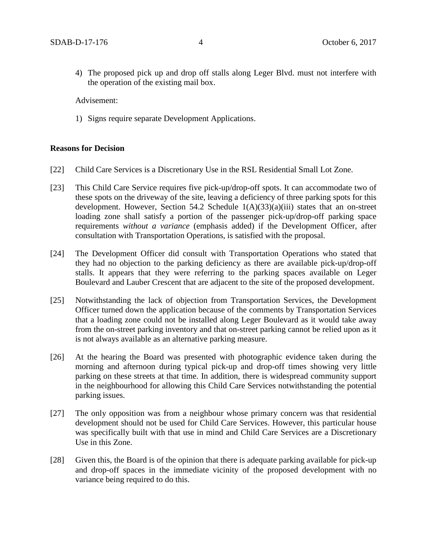4) The proposed pick up and drop off stalls along Leger Blvd. must not interfere with the operation of the existing mail box.

Advisement:

1) Signs require separate Development Applications.

#### **Reasons for Decision**

- [22] Child Care Services is a Discretionary Use in the RSL Residential Small Lot Zone.
- [23] This Child Care Service requires five pick-up/drop-off spots. It can accommodate two of these spots on the driveway of the site, leaving a deficiency of three parking spots for this development. However, Section 54.2 Schedule 1(A)(33)(a)(iii) states that an on-street loading zone shall satisfy a portion of the passenger pick-up/drop-off parking space requirements *without a variance* (emphasis added) if the Development Officer, after consultation with Transportation Operations, is satisfied with the proposal.
- [24] The Development Officer did consult with Transportation Operations who stated that they had no objection to the parking deficiency as there are available pick-up/drop-off stalls. It appears that they were referring to the parking spaces available on Leger Boulevard and Lauber Crescent that are adjacent to the site of the proposed development.
- [25] Notwithstanding the lack of objection from Transportation Services, the Development Officer turned down the application because of the comments by Transportation Services that a loading zone could not be installed along Leger Boulevard as it would take away from the on-street parking inventory and that on-street parking cannot be relied upon as it is not always available as an alternative parking measure.
- [26] At the hearing the Board was presented with photographic evidence taken during the morning and afternoon during typical pick-up and drop-off times showing very little parking on these streets at that time. In addition, there is widespread community support in the neighbourhood for allowing this Child Care Services notwithstanding the potential parking issues.
- [27] The only opposition was from a neighbour whose primary concern was that residential development should not be used for Child Care Services. However, this particular house was specifically built with that use in mind and Child Care Services are a Discretionary Use in this Zone.
- [28] Given this, the Board is of the opinion that there is adequate parking available for pick-up and drop-off spaces in the immediate vicinity of the proposed development with no variance being required to do this.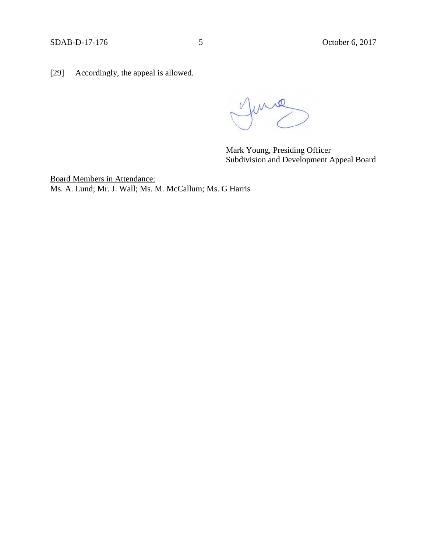[29] Accordingly, the appeal is allowed.

June

Mark Young, Presiding Officer Subdivision and Development Appeal Board

Board Members in Attendance: Ms. A. Lund; Mr. J. Wall; Ms. M. McCallum; Ms. G Harris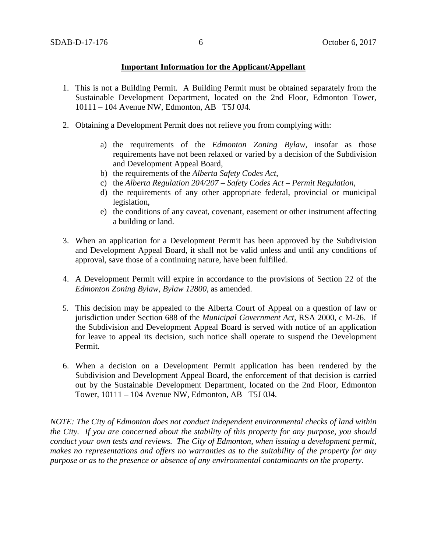### **Important Information for the Applicant/Appellant**

- 1. This is not a Building Permit. A Building Permit must be obtained separately from the Sustainable Development Department, located on the 2nd Floor, Edmonton Tower, 10111 – 104 Avenue NW, Edmonton, AB T5J 0J4.
- 2. Obtaining a Development Permit does not relieve you from complying with:
	- a) the requirements of the *Edmonton Zoning Bylaw*, insofar as those requirements have not been relaxed or varied by a decision of the Subdivision and Development Appeal Board,
	- b) the requirements of the *Alberta Safety Codes Act*,
	- c) the *Alberta Regulation 204/207 – Safety Codes Act – Permit Regulation*,
	- d) the requirements of any other appropriate federal, provincial or municipal legislation,
	- e) the conditions of any caveat, covenant, easement or other instrument affecting a building or land.
- 3. When an application for a Development Permit has been approved by the Subdivision and Development Appeal Board, it shall not be valid unless and until any conditions of approval, save those of a continuing nature, have been fulfilled.
- 4. A Development Permit will expire in accordance to the provisions of Section 22 of the *Edmonton Zoning Bylaw, Bylaw 12800*, as amended.
- 5. This decision may be appealed to the Alberta Court of Appeal on a question of law or jurisdiction under Section 688 of the *Municipal Government Act*, RSA 2000, c M-26. If the Subdivision and Development Appeal Board is served with notice of an application for leave to appeal its decision, such notice shall operate to suspend the Development Permit.
- 6. When a decision on a Development Permit application has been rendered by the Subdivision and Development Appeal Board, the enforcement of that decision is carried out by the Sustainable Development Department, located on the 2nd Floor, Edmonton Tower, 10111 – 104 Avenue NW, Edmonton, AB T5J 0J4.

*NOTE: The City of Edmonton does not conduct independent environmental checks of land within the City. If you are concerned about the stability of this property for any purpose, you should conduct your own tests and reviews. The City of Edmonton, when issuing a development permit, makes no representations and offers no warranties as to the suitability of the property for any purpose or as to the presence or absence of any environmental contaminants on the property.*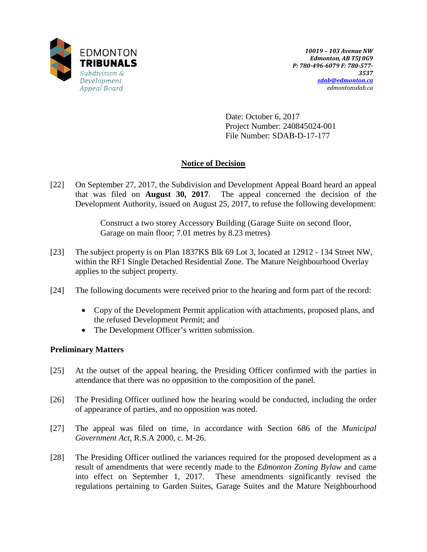

Date: October 6, 2017 Project Number: 240845024-001 File Number: SDAB-D-17-177

# **Notice of Decision**

[22] On September 27, 2017, the Subdivision and Development Appeal Board heard an appeal that was filed on **August 30, 2017**. The appeal concerned the decision of the Development Authority, issued on August 25, 2017, to refuse the following development:

> Construct a two storey Accessory Building (Garage Suite on second floor, Garage on main floor; 7.01 metres by 8.23 metres)

- [23] The subject property is on Plan 1837KS Blk 69 Lot 3, located at 12912 134 Street NW, within the RF1 Single Detached Residential Zone. The Mature Neighbourhood Overlay applies to the subject property.
- [24] The following documents were received prior to the hearing and form part of the record:
	- Copy of the Development Permit application with attachments, proposed plans, and the refused Development Permit; and
	- The Development Officer's written submission.

# **Preliminary Matters**

- [25] At the outset of the appeal hearing, the Presiding Officer confirmed with the parties in attendance that there was no opposition to the composition of the panel.
- [26] The Presiding Officer outlined how the hearing would be conducted, including the order of appearance of parties, and no opposition was noted.
- [27] The appeal was filed on time, in accordance with Section 686 of the *Municipal Government Act*, R.S.A 2000, c. M-26.
- [28] The Presiding Officer outlined the variances required for the proposed development as a result of amendments that were recently made to the *Edmonton Zoning Bylaw* and came into effect on September 1, 2017. These amendments significantly revised the regulations pertaining to Garden Suites, Garage Suites and the Mature Neighbourhood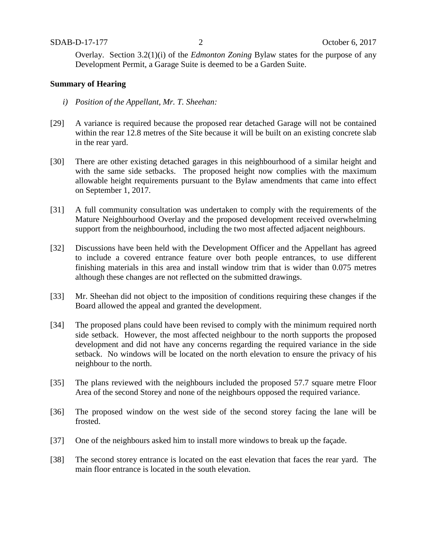Overlay. Section 3.2(1)(i) of the *Edmonton Zoning* Bylaw states for the purpose of any Development Permit, a Garage Suite is deemed to be a Garden Suite.

### **Summary of Hearing**

- *i) Position of the Appellant, Mr. T. Sheehan:*
- [29] A variance is required because the proposed rear detached Garage will not be contained within the rear 12.8 metres of the Site because it will be built on an existing concrete slab in the rear yard.
- [30] There are other existing detached garages in this neighbourhood of a similar height and with the same side setbacks. The proposed height now complies with the maximum allowable height requirements pursuant to the Bylaw amendments that came into effect on September 1, 2017.
- [31] A full community consultation was undertaken to comply with the requirements of the Mature Neighbourhood Overlay and the proposed development received overwhelming support from the neighbourhood, including the two most affected adjacent neighbours.
- [32] Discussions have been held with the Development Officer and the Appellant has agreed to include a covered entrance feature over both people entrances, to use different finishing materials in this area and install window trim that is wider than 0.075 metres although these changes are not reflected on the submitted drawings.
- [33] Mr. Sheehan did not object to the imposition of conditions requiring these changes if the Board allowed the appeal and granted the development.
- [34] The proposed plans could have been revised to comply with the minimum required north side setback. However, the most affected neighbour to the north supports the proposed development and did not have any concerns regarding the required variance in the side setback. No windows will be located on the north elevation to ensure the privacy of his neighbour to the north.
- [35] The plans reviewed with the neighbours included the proposed 57.7 square metre Floor Area of the second Storey and none of the neighbours opposed the required variance.
- [36] The proposed window on the west side of the second storey facing the lane will be frosted.
- [37] One of the neighbours asked him to install more windows to break up the façade.
- [38] The second storey entrance is located on the east elevation that faces the rear yard. The main floor entrance is located in the south elevation.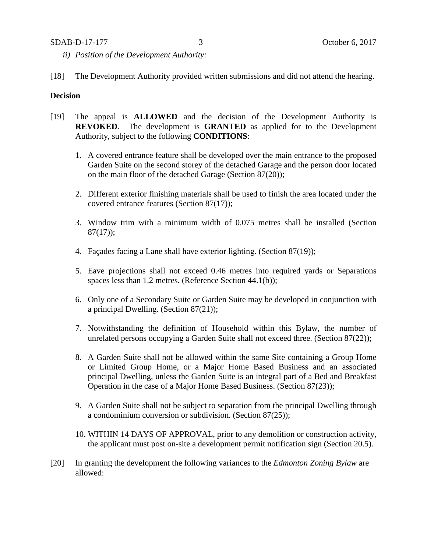### SDAB-D-17-177 3 October 6, 2017

- *ii) Position of the Development Authority:*
- [18] The Development Authority provided written submissions and did not attend the hearing.

### **Decision**

- [19] The appeal is **ALLOWED** and the decision of the Development Authority is **REVOKED**. The development is **GRANTED** as applied for to the Development Authority, subject to the following **CONDITIONS**:
	- 1. A covered entrance feature shall be developed over the main entrance to the proposed Garden Suite on the second storey of the detached Garage and the person door located on the main floor of the detached Garage (Section 87(20));
	- 2. Different exterior finishing materials shall be used to finish the area located under the covered entrance features (Section 87(17));
	- 3. Window trim with a minimum width of 0.075 metres shall be installed (Section  $87(17)$ ;
	- 4. Façades facing a Lane shall have exterior lighting. (Section 87(19));
	- 5. Eave projections shall not exceed 0.46 metres into required yards or Separations spaces less than 1.2 metres. (Reference Section 44.1(b));
	- 6. Only one of a Secondary Suite or Garden Suite may be developed in conjunction with a principal Dwelling. (Section 87(21));
	- 7. Notwithstanding the definition of Household within this Bylaw, the number of unrelated persons occupying a Garden Suite shall not exceed three. (Section 87(22));
	- 8. A Garden Suite shall not be allowed within the same Site containing a Group Home or Limited Group Home, or a Major Home Based Business and an associated principal Dwelling, unless the Garden Suite is an integral part of a Bed and Breakfast Operation in the case of a Major Home Based Business. (Section 87(23));
	- 9. A Garden Suite shall not be subject to separation from the principal Dwelling through a condominium conversion or subdivision. (Section 87(25));
	- 10. WITHIN 14 DAYS OF APPROVAL, prior to any demolition or construction activity, the applicant must post on-site a development permit notification sign (Section 20.5).
- [20] In granting the development the following variances to the *Edmonton Zoning Bylaw* are allowed: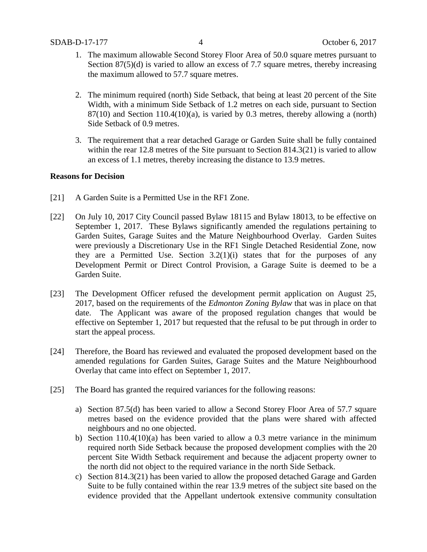- 1. The maximum allowable Second Storey Floor Area of 50.0 square metres pursuant to Section 87(5)(d) is varied to allow an excess of 7.7 square metres, thereby increasing the maximum allowed to 57.7 square metres.
- 2. The minimum required (north) Side Setback, that being at least 20 percent of the Site Width, with a minimum Side Setback of 1.2 metres on each side, pursuant to Section  $87(10)$  and Section  $110.4(10)(a)$ , is varied by 0.3 metres, thereby allowing a (north) Side Setback of 0.9 metres.
- 3. The requirement that a rear detached Garage or Garden Suite shall be fully contained within the rear 12.8 metres of the Site pursuant to Section 814.3(21) is varied to allow an excess of 1.1 metres, thereby increasing the distance to 13.9 metres.

## **Reasons for Decision**

- [21] A Garden Suite is a Permitted Use in the RF1 Zone.
- [22] On July 10, 2017 City Council passed Bylaw 18115 and Bylaw 18013, to be effective on September 1, 2017. These Bylaws significantly amended the regulations pertaining to Garden Suites, Garage Suites and the Mature Neighbourhood Overlay. Garden Suites were previously a Discretionary Use in the RF1 Single Detached Residential Zone, now they are a Permitted Use. Section  $3.2(1)(i)$  states that for the purposes of any Development Permit or Direct Control Provision, a Garage Suite is deemed to be a Garden Suite.
- [23] The Development Officer refused the development permit application on August 25, 2017, based on the requirements of the *Edmonton Zoning Bylaw* that was in place on that date. The Applicant was aware of the proposed regulation changes that would be effective on September 1, 2017 but requested that the refusal to be put through in order to start the appeal process.
- [24] Therefore, the Board has reviewed and evaluated the proposed development based on the amended regulations for Garden Suites, Garage Suites and the Mature Neighbourhood Overlay that came into effect on September 1, 2017.
- [25] The Board has granted the required variances for the following reasons:
	- a) Section 87.5(d) has been varied to allow a Second Storey Floor Area of 57.7 square metres based on the evidence provided that the plans were shared with affected neighbours and no one objected.
	- b) Section 110.4(10)(a) has been varied to allow a 0.3 metre variance in the minimum required north Side Setback because the proposed development complies with the 20 percent Site Width Setback requirement and because the adjacent property owner to the north did not object to the required variance in the north Side Setback.
	- c) Section 814.3(21) has been varied to allow the proposed detached Garage and Garden Suite to be fully contained within the rear 13.9 metres of the subject site based on the evidence provided that the Appellant undertook extensive community consultation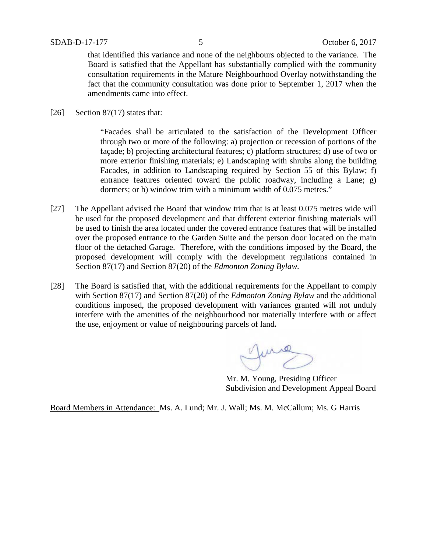that identified this variance and none of the neighbours objected to the variance. The Board is satisfied that the Appellant has substantially complied with the community consultation requirements in the Mature Neighbourhood Overlay notwithstanding the fact that the community consultation was done prior to September 1, 2017 when the amendments came into effect.

[26] Section 87(17) states that:

"Facades shall be articulated to the satisfaction of the Development Officer through two or more of the following: a) projection or recession of portions of the façade; b) projecting architectural features; c) platform structures; d) use of two or more exterior finishing materials; e) Landscaping with shrubs along the building Facades, in addition to Landscaping required by Section 55 of this Bylaw; f) entrance features oriented toward the public roadway, including a Lane; g) dormers; or h) window trim with a minimum width of 0.075 metres."

- [27] The Appellant advised the Board that window trim that is at least 0.075 metres wide will be used for the proposed development and that different exterior finishing materials will be used to finish the area located under the covered entrance features that will be installed over the proposed entrance to the Garden Suite and the person door located on the main floor of the detached Garage. Therefore, with the conditions imposed by the Board, the proposed development will comply with the development regulations contained in Section 87(17) and Section 87(20) of the *Edmonton Zoning Bylaw.*
- [28] The Board is satisfied that, with the additional requirements for the Appellant to comply with Section 87(17) and Section 87(20) of the *Edmonton Zoning Bylaw* and the additional conditions imposed, the proposed development with variances granted will not unduly interfere with the amenities of the neighbourhood nor materially interfere with or affect the use, enjoyment or value of neighbouring parcels of land**.**

June

Mr. M. Young, Presiding Officer Subdivision and Development Appeal Board

Board Members in Attendance: Ms. A. Lund; Mr. J. Wall; Ms. M. McCallum; Ms. G Harris